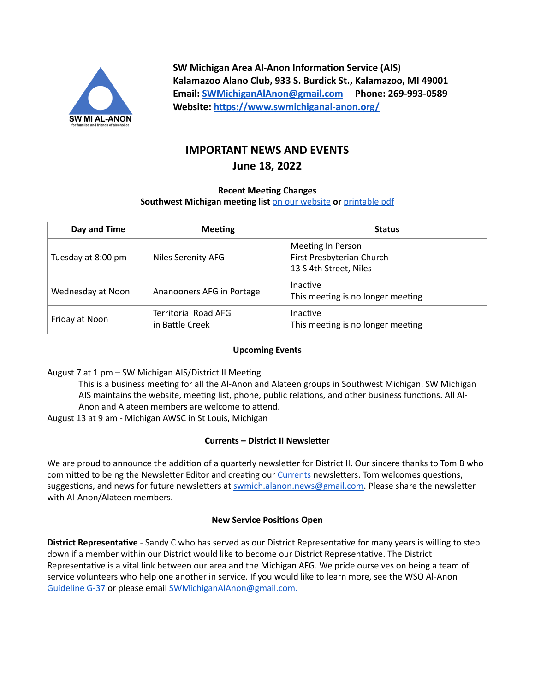

**SW Michigan Area Al-Anon Information Service (AIS**) **Kalamazoo Alano Club, 933 S. Burdick St., Kalamazoo, MI 49001 Email: [SWMichiganAlAnon@gmail.com](mailto:SWMichiganAlAnon@gmail.com) Phone: 269-993-0589 Website: <https://www.swmichiganal-anon.org/>**

# **IMPORTANT NEWS AND EVENTS June 18, 2022**

## **Recent Meeting Changes Southwest Michigan meeting list** [on our website](https://www.swmichiganal-anon.org/localmeetings) **or** [printable pdf](https://drive.google.com/file/d/1t71vhC-pE0DpH2Qhl1Yk3J92gtOYbYOf/view?usp=sharing)

| Day and Time       | <b>Meeting</b>                                 | <b>Status</b>                                                            |
|--------------------|------------------------------------------------|--------------------------------------------------------------------------|
| Tuesday at 8:00 pm | <b>Niles Serenity AFG</b>                      | Meeting In Person<br>First Presbyterian Church<br>13 S 4th Street, Niles |
| Wednesday at Noon  | Ananooners AFG in Portage                      | Inactive<br>This meeting is no longer meeting                            |
| Friday at Noon     | <b>Territorial Road AFG</b><br>in Battle Creek | Inactive<br>This meeting is no longer meeting                            |

## **Upcoming Events**

August 7 at 1 pm – SW Michigan AIS/District II Meeting

This is a business meeting for all the Al-Anon and Alateen groups in Southwest Michigan. SW Michigan AIS maintains the website, meeting list, phone, public relations, and other business functions. All Al-Anon and Alateen members are welcome to attend.

August 13 at 9 am - Michigan AWSC in St Louis, Michigan

# **Currents – District II Newsletter**

We are proud to announce the addition of a quarterly newsletter for District II. Our sincere thanks to Tom B who committed to being the Newsletter Editor and creating our [Currents](https://drive.google.com/drive/folders/1Lg9Dc4xUsWQnLoba13vT34uO-TvbfXMP?usp=sharing) newsletters. Tom welcomes questions, suggestions, and news for future newsletters at [swmich.alanon.news@gmail.com](mailto:swmich.alanon.news@gmail.com). Please share the newsletter with Al-Anon/Alateen members.

# **New Service Positions Open**

**District Representative** - Sandy C who has served as our District Representative for many years is willing to step down if a member within our District would like to become our District Representative. The District Representative is a vital link between our area and the Michigan AFG. We pride ourselves on being a team of service volunteers who help one another in service. If you would like to learn more, see the WSO Al-Anon [Guideline G-37](https://drive.google.com/file/d/12VE7Vny5u6B-5t9csZH8J9st5EwRa1IJ/view?usp=sharing) or please email [SWMichiganAlAnon@gmail.com](mailto:SWMichiganAlAnon@gmail.com).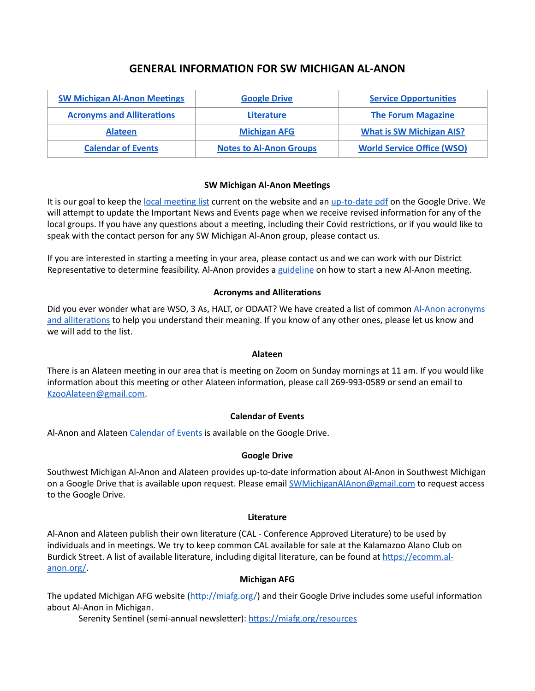# **GENERAL INFORMATION FOR SW MICHIGAN AL-ANON**

| <b>SW Michigan Al-Anon Meetings</b> | <b>Google Drive</b>            | <b>Service Opportunities</b>      |
|-------------------------------------|--------------------------------|-----------------------------------|
| <b>Acronyms and Alliterations</b>   | Literature                     | <b>The Forum Magazine</b>         |
| <b>Alateen</b>                      | <b>Michigan AFG</b>            | <b>What is SW Michigan AIS?</b>   |
| <b>Calendar of Events</b>           | <b>Notes to Al-Anon Groups</b> | <b>World Service Office (WSO)</b> |

#### <span id="page-1-0"></span>**SW Michigan Al-Anon Meetings**

It is our goal to keep the [local meeting list](https://www.swmichiganal-anon.org/localmeetings) current on the website and an [up-to-date pdf](https://drive.google.com/file/d/1t71vhC-pE0DpH2Qhl1Yk3J92gtOYbYOf/view?usp=sharing) on the Google Drive. We will attempt to update the Important News and Events page when we receive revised information for any of the local groups. If you have any questions about a meeting, including their Covid restrictions, or if you would like to speak with the contact person for any SW Michigan Al-Anon group, please contact us.

If you are interested in starting a meeting in your area, please contact us and we can work with our District Representative to determine feasibility. Al-Anon provides a [guideline](https://drive.google.com/file/d/1IqeT_Rq02GdIDuB4aP2VUvNCtStdC_TL/view?usp=sharing) on how to start a new Al-Anon meeting.

### <span id="page-1-2"></span>**Acronyms and Alliterations**

Did you ever wonder what are WSO, 3 As, HALT, or ODAAT? We have created a list of common [Al-Anon acronyms](https://drive.google.com/file/d/1J5VFf9kA6fm1CJowq6dhBkzk8lrPdba7/view?usp=sharing)  [and alliterations](https://drive.google.com/file/d/1J5VFf9kA6fm1CJowq6dhBkzk8lrPdba7/view?usp=sharing) to help you understand their meaning. If you know of any other ones, please let us know and we will add to the list.

#### <span id="page-1-4"></span>**Alateen**

There is an Alateen meeting in our area that is meeting on Zoom on Sunday mornings at 11 am. If you would like information about this meeting or other Alateen information, please call 269-993-0589 or send an email to [KzooAlateen@gmail.com.](mailto:KzooAlateen@gmail.com)

#### <span id="page-1-6"></span>**Calendar of Events**

Al-Anon and Alateen [Calendar of Events](https://drive.google.com/file/d/1-XU_KnCaLlqqZmFGB07je3vWVXN-9J9w/view?usp=sharing) is available on the Google Drive.

#### <span id="page-1-1"></span>**Google Drive**

Southwest Michigan Al-Anon and Alateen provides up-to-date information about Al-Anon in Southwest Michigan on a Google Drive that is available upon request. Please email [SWMichiganAlAnon@gmail.com](mailto:SWMichiganAlAnon@gmail.com) to request access to the Google Drive.

#### <span id="page-1-3"></span>**Literature**

Al-Anon and Alateen publish their own literature (CAL - Conference Approved Literature) to be used by individuals and in meetings. We try to keep common CAL available for sale at the Kalamazoo Alano Club on Burdick Street. A list of available literature, including digital literature, can be found at [https://ecomm.al](https://ecomm.al-anon.org/)[anon.org/.](https://ecomm.al-anon.org/)

#### <span id="page-1-5"></span>**Michigan AFG**

The updated Michigan AFG website (<http://miafg.org/>) and their Google Drive includes some useful information about Al-Anon in Michigan.

Serenity Sentinel (semi-annual newsletter): <https://miafg.org/resources>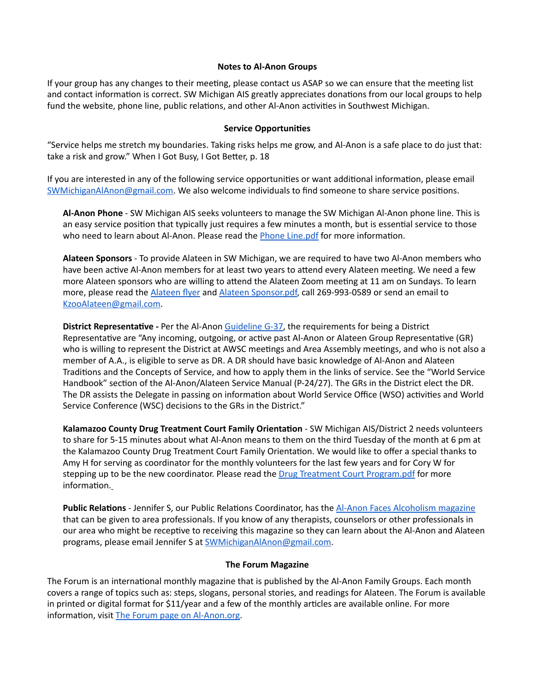#### <span id="page-2-2"></span>**Notes to Al-Anon Groups**

If your group has any changes to their meeting, please contact us ASAP so we can ensure that the meeting list and contact information is correct. SW Michigan AIS greatly appreciates donations from our local groups to help fund the website, phone line, public relations, and other Al-Anon activities in Southwest Michigan.

#### <span id="page-2-0"></span>**Service Opportunities**

"Service helps me stretch my boundaries. Taking risks helps me grow, and Al-Anon is a safe place to do just that: take a risk and grow." When I Got Busy, I Got Better, p. 18

If you are interested in any of the following service opportunities or want additional information, please email [SWMichiganAlAnon@gmail.com](mailto:SWMichiganAlAnon@gmail.com). We also welcome individuals to find someone to share service positions.

**Al-Anon Phone** - SW Michigan AIS seeks volunteers to manage the SW Michigan Al-Anon phone line. This is an easy service position that typically just requires a few minutes a month, but is essential service to those who need to learn about Al-Anon. Please read the [Phone Line.pdf](https://drive.google.com/file/d/1whyKeFWnDKQBffZYNR_yN6VcnMbggMOe/view?usp=sharing) for more information.

**Alateen Sponsors** - To provide Alateen in SW Michigan, we are required to have two Al-Anon members who have been active Al-Anon members for at least two years to attend every Alateen meeting. We need a few more Alateen sponsors who are willing to attend the Alateen Zoom meeting at 11 am on Sundays. To learn more, please read the [Alateen flyer](https://drive.google.com/file/d/159wvsNRTpBecA2LsH9gzOcMJTH86EkmP/view?usp=sharing) and [Alateen Sponsor.pdf](https://drive.google.com/file/d/1h5CkYbh5TYIw-NFBAItZscui9yYQVSyx/view?usp=sharing), call 269-993-0589 or send an email to [KzooAlateen@gmail.com.](mailto:KzooAlateen@gmail.com)

**District Representative -** Per the Al-Anon [Guideline G-37](https://drive.google.com/file/d/12VE7Vny5u6B-5t9csZH8J9st5EwRa1IJ/view?usp=sharing), the requirements for being a District Representative are "Any incoming, outgoing, or active past Al-Anon or Alateen Group Representative (GR) who is willing to represent the District at AWSC meetings and Area Assembly meetings, and who is not also a member of A.A., is eligible to serve as DR. A DR should have basic knowledge of Al-Anon and Alateen Traditions and the Concepts of Service, and how to apply them in the links of service. See the "World Service Handbook" section of the Al-Anon/Alateen Service Manual (P-24/27). The GRs in the District elect the DR. The DR assists the Delegate in passing on information about World Service Office (WSO) activities and World Service Conference (WSC) decisions to the GRs in the District."

**Kalamazoo County Drug Treatment Court Family Orientation** - SW Michigan AIS/District 2 needs volunteers to share for 5-15 minutes about what Al-Anon means to them on the third Tuesday of the month at 6 pm at the Kalamazoo County Drug Treatment Court Family Orientation. We would like to offer a special thanks to Amy H for serving as coordinator for the monthly volunteers for the last few years and for Cory W for stepping up to be the new coordinator. Please read the [Drug Treatment Court Program.pdf](https://drive.google.com/file/d/1PR6HgnxNg5Rd41ujihEux991DuXA6nNG/view?usp=sharing) for more information.

**Public Relations** - Jennifer S, our Public Relations Coordinator, has the [Al-Anon Faces Alcoholism magazine](https://al-anon.org/for-members/members-resources/literature/magazines/afa-magazine/) that can be given to area professionals. If you know of any therapists, counselors or other professionals in our area who might be receptive to receiving this magazine so they can learn about the Al-Anon and Alateen programs, please email Jennifer S at [SWMichiganAlAnon@gmail.com](mailto:SWMichiganAlAnon@gmail.com).

#### <span id="page-2-1"></span>**The Forum Magazine**

The Forum is an international monthly magazine that is published by the Al-Anon Family Groups. Each month covers a range of topics such as: steps, slogans, personal stories, and readings for Alateen. The Forum is available in printed or digital format for \$11/year and a few of the monthly articles are available online. For more information, visit [The Forum page on Al-Anon.org.](https://al-anon.org/for-members/members-resources/literature/magazines/forum-magazine-stories/)